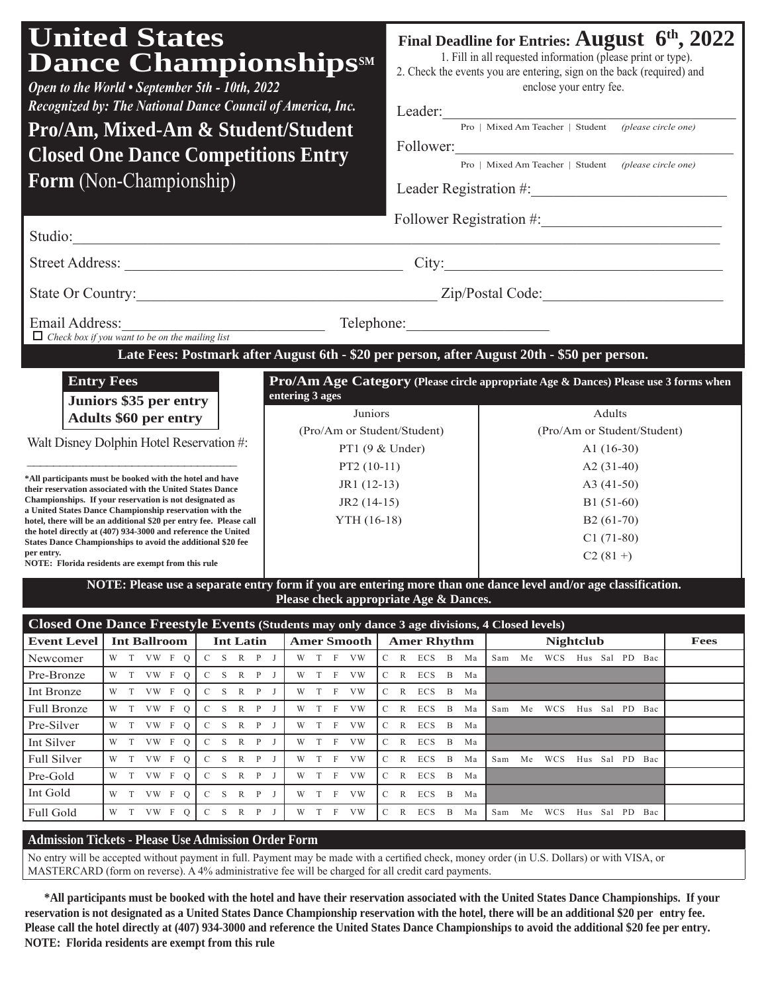| <b>United States</b><br><b>Dance Championships SM</b><br>Open to the World • September 5th - 10th, 2022<br>Recognized by: The National Dance Council of America, Inc.<br>Pro/Am, Mixed-Am & Student/Student<br><b>Closed One Dance Competitions Entry</b><br>Form (Non-Championship) |                                        | Final Deadline for Entries: August 6 <sup>th</sup> , 2022<br>1. Fill in all requested information (please print or type).<br>2. Check the events you are entering, sign on the back (required) and<br>enclose your entry fee.<br>Leader:<br><u> 1989 - Johann John Stein, mars ar yw y cynnwysg y cynnwysg y cynnwysg y cynnwysg y cynnwysg y cynnwysg y cyn</u><br>Pro   Mixed Am Teacher   Student (please circle one)<br>Pro   Mixed Am Teacher   Student (please circle one) |                                                                                      |             |  |  |  |
|--------------------------------------------------------------------------------------------------------------------------------------------------------------------------------------------------------------------------------------------------------------------------------------|----------------------------------------|----------------------------------------------------------------------------------------------------------------------------------------------------------------------------------------------------------------------------------------------------------------------------------------------------------------------------------------------------------------------------------------------------------------------------------------------------------------------------------|--------------------------------------------------------------------------------------|-------------|--|--|--|
| Follower Registration #:<br>Studio:                                                                                                                                                                                                                                                  |                                        |                                                                                                                                                                                                                                                                                                                                                                                                                                                                                  |                                                                                      |             |  |  |  |
|                                                                                                                                                                                                                                                                                      |                                        |                                                                                                                                                                                                                                                                                                                                                                                                                                                                                  |                                                                                      |             |  |  |  |
|                                                                                                                                                                                                                                                                                      |                                        |                                                                                                                                                                                                                                                                                                                                                                                                                                                                                  |                                                                                      |             |  |  |  |
| Email Address:<br>Telephone: The Check box if you want to be on the mailing list Telephone:                                                                                                                                                                                          |                                        |                                                                                                                                                                                                                                                                                                                                                                                                                                                                                  |                                                                                      |             |  |  |  |
| Late Fees: Postmark after August 6th - \$20 per person, after August 20th - \$50 per person.                                                                                                                                                                                         |                                        |                                                                                                                                                                                                                                                                                                                                                                                                                                                                                  |                                                                                      |             |  |  |  |
| <b>Entry Fees</b><br>Juniors \$35 per entry                                                                                                                                                                                                                                          | entering 3 ages                        |                                                                                                                                                                                                                                                                                                                                                                                                                                                                                  | Pro/Am Age Category (Please circle appropriate Age & Dances) Please use 3 forms when |             |  |  |  |
| <b>Adults \$60 per entry</b>                                                                                                                                                                                                                                                         | Juniors                                |                                                                                                                                                                                                                                                                                                                                                                                                                                                                                  | Adults                                                                               |             |  |  |  |
| Walt Disney Dolphin Hotel Reservation #:                                                                                                                                                                                                                                             | (Pro/Am or Student/Student)            |                                                                                                                                                                                                                                                                                                                                                                                                                                                                                  | (Pro/Am or Student/Student)                                                          |             |  |  |  |
|                                                                                                                                                                                                                                                                                      | PT1 (9 & Under)                        |                                                                                                                                                                                                                                                                                                                                                                                                                                                                                  | A1 $(16-30)$                                                                         |             |  |  |  |
| *All participants must be booked with the hotel and have                                                                                                                                                                                                                             | $PT2(10-11)$                           |                                                                                                                                                                                                                                                                                                                                                                                                                                                                                  | A2 $(31-40)$                                                                         |             |  |  |  |
| their reservation associated with the United States Dance<br>Championships. If your reservation is not designated as                                                                                                                                                                 | $JR1(12-13)$<br>$JR2(14-15)$           |                                                                                                                                                                                                                                                                                                                                                                                                                                                                                  | A3 $(41-50)$<br>$B1(51-60)$                                                          |             |  |  |  |
| a United States Dance Championship reservation with the<br>hotel, there will be an additional \$20 per entry fee. Please call                                                                                                                                                        | YTH (16-18)                            |                                                                                                                                                                                                                                                                                                                                                                                                                                                                                  | $B2(61-70)$                                                                          |             |  |  |  |
| the hotel directly at (407) 934-3000 and reference the United<br>States Dance Championships to avoid the additional \$20 fee                                                                                                                                                         |                                        |                                                                                                                                                                                                                                                                                                                                                                                                                                                                                  | $C1(71-80)$                                                                          |             |  |  |  |
| per entry.<br>NOTE: Florida residents are exempt from this rule                                                                                                                                                                                                                      |                                        |                                                                                                                                                                                                                                                                                                                                                                                                                                                                                  | $C2(81+)$                                                                            |             |  |  |  |
| NOTE: Please use a separate entry form if you are entering more than one dance level and/or age classification.                                                                                                                                                                      |                                        |                                                                                                                                                                                                                                                                                                                                                                                                                                                                                  |                                                                                      |             |  |  |  |
|                                                                                                                                                                                                                                                                                      | Please check appropriate Age & Dances. |                                                                                                                                                                                                                                                                                                                                                                                                                                                                                  |                                                                                      |             |  |  |  |
|                                                                                                                                                                                                                                                                                      |                                        |                                                                                                                                                                                                                                                                                                                                                                                                                                                                                  |                                                                                      |             |  |  |  |
| Closed One Dance Freestyle Events (Students may only dance 3 age divisions, 4 Closed levels)<br><b>Event Level</b><br><b>Int Latin</b><br>Int Ballroom                                                                                                                               |                                        | Amer Smooth   Amer Rhythm                                                                                                                                                                                                                                                                                                                                                                                                                                                        | <b>Nightclub</b>                                                                     | <b>Fees</b> |  |  |  |

### **Admission Tickets - Please Use Admission Order Form**

Pre-Bronze W T VW F Q C S R P J W T F VW C R ECS B Ma Int Bronze W T VW F Q C S R P J W T F VW C R ECS B Ma

Pre-Silver W T VW F Q C S R P J W T F VW C R ECS B Ma Int Silver W T VW F Q C S R P J W T F VW C R ECS B Ma

Pre-Gold W T VW F Q C S R P J W T F VW C R ECS B Ma Int Gold W T VW F Q C S R P J W T F VW C R ECS B Ma

No entry will be accepted without payment in full. Payment may be made with a certified check, money order (in U.S. Dollars) or with VISA, or MASTERCARD (form on reverse). A 4% administrative fee will be charged for all credit card payments.

Full Bronze W T VW F Q C S R P J W T F VW C R ECS B Ma Sam Me WCS Hus Sal PD Bac

Full Silver | W T VW F Q | C S R P J | W T F VW | C R ECS B Ma | Sam Me WCS Hus Sal PD Bac

Full Gold W T VW F Q C S R P J W T F VW C R ECS B Ma Sam Me WCS Hus Sal PD Bac

**\*All participants must be booked with the hotel and have their reservation associated with the United States Dance Championships. If your reservation is not designated as a United States Dance Championship reservation with the hotel, there will be an additional \$20 per entry fee. Please call the hotel directly at (407) 934-3000 and reference the United States Dance Championships to avoid the additional \$20 fee per entry. NOTE: Florida residents are exempt from this rule**